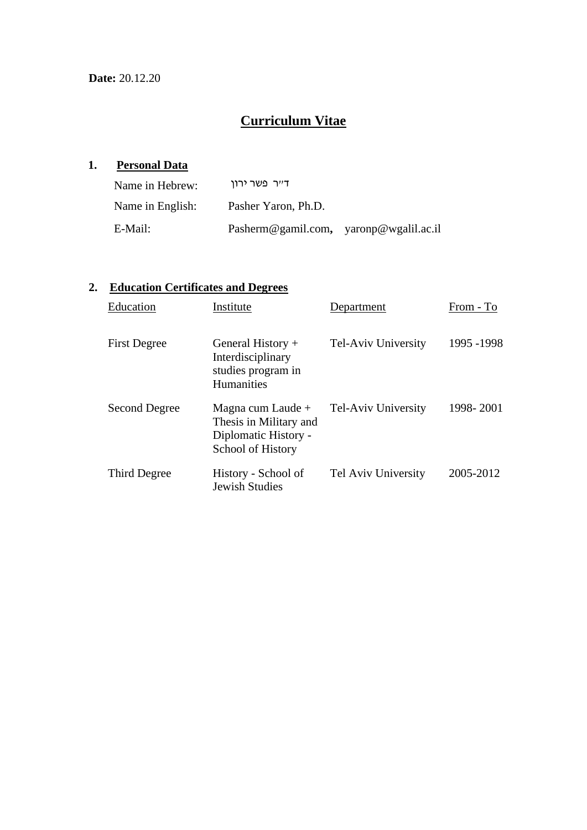# **Curriculum Vitae**

# **1. Personal Data**

| Name in Hebrew:  | ד״ר פשר ירוו                           |  |
|------------------|----------------------------------------|--|
| Name in English: | Pasher Yaron, Ph.D.                    |  |
| E-Mail:          | Pasherm@gamil.com, yaronp@wgalil.ac.il |  |

## **2. Education Certificates and Degrees**

| Education           | Institute                                                                                | Department          | From - To   |
|---------------------|------------------------------------------------------------------------------------------|---------------------|-------------|
| <b>First Degree</b> | General History $+$<br>Interdisciplinary<br>studies program in<br><b>Humanities</b>      | Tel-Aviv University | 1995 - 1998 |
| Second Degree       | Magna cum Laude +<br>Thesis in Military and<br>Diplomatic History -<br>School of History | Tel-Aviv University | 1998-2001   |
| Third Degree        | History - School of<br><b>Jewish Studies</b>                                             | Tel Aviv University | 2005-2012   |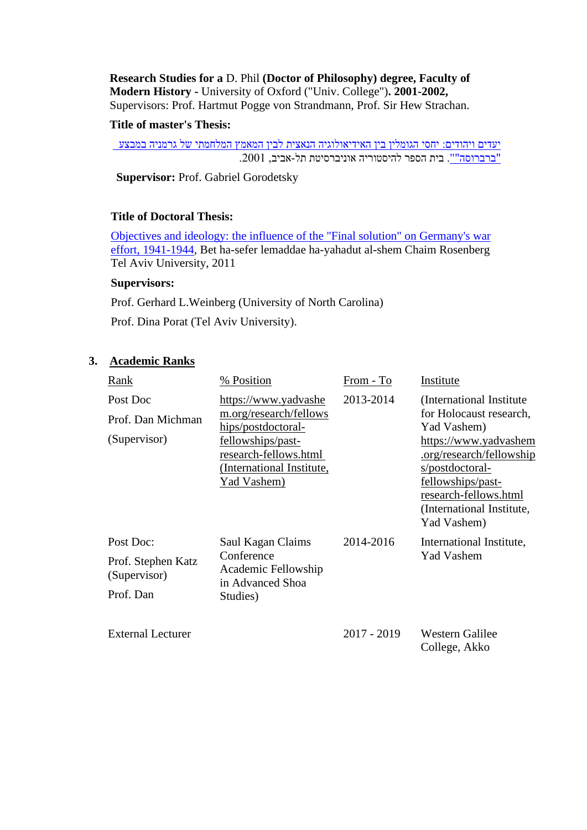**Research Studies for a** D. Phil **(Doctor of Philosophy) degree, Faculty of Modern History -** University of Oxford ("Univ. College")**. 2001-2002,**  Supervisors: Prof. Hartmut Pogge von Strandmann, Prof. Sir Hew Strachan.

### **Title of master's Thesis:**

[יעדים ויהודים: יחסי הגומלין בין האידיאולוגיה הנאצית לבין המאמץ המלחמתי של גרמניה במבצע](http://primoprd.tau.ac.il:1701/primo_library/libweb/action/display.do?tabs=requestTab&ct=display&fn=search&doc=aleph_tau01001544990&indx=1&recIds=aleph_tau01001544990&recIdxs=0&elementId=0&renderMode=poppedOut&displayMode=full&frbrVersion=&op=%D7%97%D7%A4%D7%A9&frbg=&form_id=library_search_form&resetConfig=true&dscnt=0&vid=TAU1&form_build_id=form-O7Zblq9zu4P_gu4n3jEPK-OBq7dX-MOQZ9HApp5vFDk&str=rank&mode=Basic&tab=default_tab&dum=true&vl(freeText0)=%D7%99%D7%A2%D7%93%D7%99%D7%9D%20%D7%95%D7%99%D7%94%D7%95%D7%93%D7%99%D7%9D&dstmp=1484035940280)  ["ברברוסה"".](http://primoprd.tau.ac.il:1701/primo_library/libweb/action/display.do?tabs=requestTab&ct=display&fn=search&doc=aleph_tau01001544990&indx=1&recIds=aleph_tau01001544990&recIdxs=0&elementId=0&renderMode=poppedOut&displayMode=full&frbrVersion=&op=%D7%97%D7%A4%D7%A9&frbg=&form_id=library_search_form&resetConfig=true&dscnt=0&vid=TAU1&form_build_id=form-O7Zblq9zu4P_gu4n3jEPK-OBq7dX-MOQZ9HApp5vFDk&str=rank&mode=Basic&tab=default_tab&dum=true&vl(freeText0)=%D7%99%D7%A2%D7%93%D7%99%D7%9D%20%D7%95%D7%99%D7%94%D7%95%D7%93%D7%99%D7%9D&dstmp=1484035940280) בית הספר להיסטוריה אוניברסיטת תל-אביב, .2001

**Supervisor: Prof. Gabriel Gorodetsky** 

## **Title of Doctoral Thesis:**

[Objectives and ideology: the influence of the "Final solution" on Germany's war](http://primoprd.tau.ac.il:1701/primo_library/libweb/action/display.do?tabs=requestTab&ct=display&fn=search&doc=aleph_tau01002513409&indx=1&recIds=aleph_tau01002513409&recIdxs=0&elementId=0&renderMode=poppedOut&displayMode=full&frbrVersion=&frbg=&&dscnt=0&scp.scps=scope%3A%28Theses%29%2Cscope%3A%28Ebooks%29%2Cscope%3A%28Ejournals%29%2Cscope%3A%28AAH%29%2Cscope%3A%28AAM%29%2Cscope%3A%28AAL%29%2Cscope%3A%28AAS%29%2Cscope%3A%28AAC%29%2Cscope%3A%28TAU%29%2Cscope%3A%28SFX_TAU%29%2Cscope%3A%28SFX%29%2CEbscoLocal%2CEbscoLocal2%2Cprimo_central_multiple_fe&tb=t&mode=Basic&vid=TAU1&srt=rank&tab=default_tab&dum=true&vl(freeText0)=objectives%20and%20ideology&dstmp=1484036246858)  [effort, 1941-1944,](http://primoprd.tau.ac.il:1701/primo_library/libweb/action/display.do?tabs=requestTab&ct=display&fn=search&doc=aleph_tau01002513409&indx=1&recIds=aleph_tau01002513409&recIdxs=0&elementId=0&renderMode=poppedOut&displayMode=full&frbrVersion=&frbg=&&dscnt=0&scp.scps=scope%3A%28Theses%29%2Cscope%3A%28Ebooks%29%2Cscope%3A%28Ejournals%29%2Cscope%3A%28AAH%29%2Cscope%3A%28AAM%29%2Cscope%3A%28AAL%29%2Cscope%3A%28AAS%29%2Cscope%3A%28AAC%29%2Cscope%3A%28TAU%29%2Cscope%3A%28SFX_TAU%29%2Cscope%3A%28SFX%29%2CEbscoLocal%2CEbscoLocal2%2Cprimo_central_multiple_fe&tb=t&mode=Basic&vid=TAU1&srt=rank&tab=default_tab&dum=true&vl(freeText0)=objectives%20and%20ideology&dstmp=1484036246858) Bet ha-sefer lemaddae ha-yahadut al-shem Chaim Rosenberg Tel Aviv University, 2011

### **Supervisors:**

Prof. Gerhard L.Weinberg (University of North Carolina)

Prof. Dina Porat (Tel Aviv University).

## **3. Academic Ranks**

| <b>Rank</b>                                                  | % Position                                                                                                                                                     | From - To     | Institute                                                                                                                                                                                                                                    |
|--------------------------------------------------------------|----------------------------------------------------------------------------------------------------------------------------------------------------------------|---------------|----------------------------------------------------------------------------------------------------------------------------------------------------------------------------------------------------------------------------------------------|
| Post Doc<br>Prof. Dan Michman<br>(Supervisor)                | https://www.yadvashe<br>m.org/research/fellows<br>hips/postdoctoral-<br>fellowships/past-<br>research-fellows.html<br>(International Institute,<br>Yad Vashem) | 2013-2014     | (International Institute)<br>for Holocaust research,<br>Yad Vashem)<br>https://www.yadvashem<br>.org/research/fellowship<br><u>s/postdoctoral-</u><br>fellowships/past-<br>research-fellows.html<br>(International Institute,<br>Yad Vashem) |
| Post Doc:<br>Prof. Stephen Katz<br>(Supervisor)<br>Prof. Dan | Saul Kagan Claims<br>Conference<br>Academic Fellowship<br>in Advanced Shoa<br>Studies)                                                                         | 2014-2016     | International Institute,<br><b>Yad Vashem</b>                                                                                                                                                                                                |
| <b>External Lecturer</b>                                     |                                                                                                                                                                | $2017 - 2019$ | <b>Western Galilee</b><br>College, Akko                                                                                                                                                                                                      |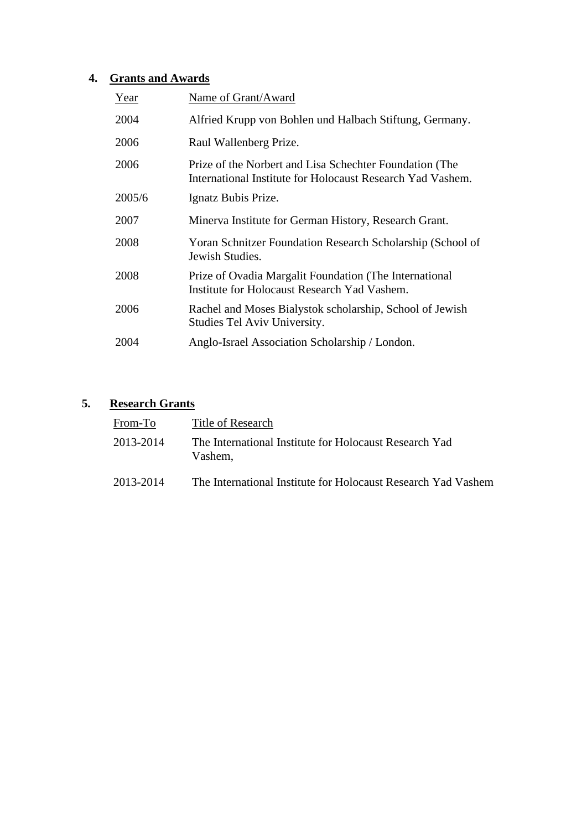## **4. Grants and Awards**

| Year   | Name of Grant/Award                                                                                                   |
|--------|-----------------------------------------------------------------------------------------------------------------------|
| 2004   | Alfried Krupp von Bohlen und Halbach Stiftung, Germany.                                                               |
| 2006   | Raul Wallenberg Prize.                                                                                                |
| 2006   | Prize of the Norbert and Lisa Schechter Foundation (The<br>International Institute for Holocaust Research Yad Vashem. |
| 2005/6 | Ignatz Bubis Prize.                                                                                                   |
| 2007   | Minerva Institute for German History, Research Grant.                                                                 |
| 2008   | Yoran Schnitzer Foundation Research Scholarship (School of<br>Jewish Studies.                                         |
| 2008   | Prize of Ovadia Margalit Foundation (The International<br>Institute for Holocaust Research Yad Vashem.                |
| 2006   | Rachel and Moses Bialystok scholarship, School of Jewish<br>Studies Tel Aviv University.                              |
| 2004   | Anglo-Israel Association Scholarship / London.                                                                        |

## **5. Research Grants**

| From-To   | Title of Research                                                 |
|-----------|-------------------------------------------------------------------|
| 2013-2014 | The International Institute for Holocaust Research Yad<br>Vashem, |
| 2013-2014 | The International Institute for Holocaust Research Yad Vashem     |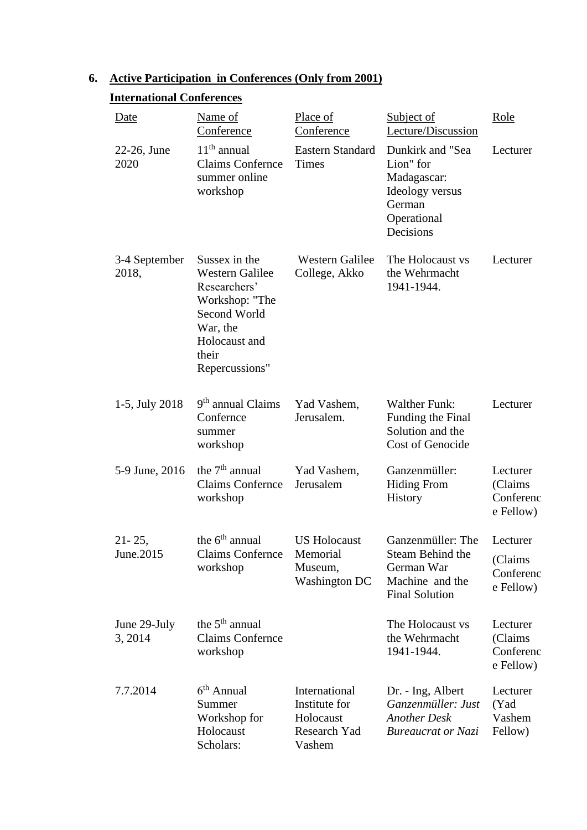## **6. Active Participation in Conferences (Only from 2001)**

Holocaust Scholars:

| Date                    | Name of<br>Conference                                                                                                                             | Place of<br>Conference                      | <b>Subject of</b><br>Lecture/Discussion                                                               | Role                                           |
|-------------------------|---------------------------------------------------------------------------------------------------------------------------------------------------|---------------------------------------------|-------------------------------------------------------------------------------------------------------|------------------------------------------------|
| 22-26, June<br>2020     | $11th$ annual<br><b>Claims Confernce</b><br>summer online<br>workshop                                                                             | <b>Eastern Standard</b><br>Times            | Dunkirk and "Sea<br>Lion" for<br>Madagascar:<br>Ideology versus<br>German<br>Operational<br>Decisions | Lecturer                                       |
| 3-4 September<br>2018,  | Sussex in the<br><b>Western Galilee</b><br>Researchers'<br>Workshop: "The<br>Second World<br>War, the<br>Holocaust and<br>their<br>Repercussions" | <b>Western Galilee</b><br>College, Akko     | The Holocaust vs<br>the Wehrmacht<br>1941-1944.                                                       | Lecturer                                       |
| 1-5, July 2018          | $9th$ annual Claims<br>Confernce<br>summer<br>workshop                                                                                            | Yad Vashem,<br>Jerusalem.                   | <b>Walther Funk:</b><br>Funding the Final<br>Solution and the<br>Cost of Genocide                     | Lecturer                                       |
| 5-9 June, 2016          | the $7th$ annual<br><b>Claims Confernce</b><br>workshop                                                                                           | Yad Vashem,<br>Jerusalem                    | Ganzenmüller:<br><b>Hiding From</b><br><b>History</b>                                                 | Lecturer<br>(Claims)<br>Conferenc<br>e Fellow) |
| $21 - 25$ ,             | the 6 <sup>th</sup> annual                                                                                                                        | <b>US Holocaust</b>                         | Ganzenmüller: The                                                                                     | Lecturer                                       |
| June.2015               | <b>Claims Confernce</b><br>workshop                                                                                                               | Memorial<br>Museum,<br><b>Washington DC</b> | Steam Behind the<br>German War<br>Machine and the<br><b>Final Solution</b>                            | (Claims<br>Conferenc<br>e Fellow)              |
| June 29-July<br>3, 2014 | the $5th$ annual<br><b>Claims Confernce</b><br>workshop                                                                                           |                                             | The Holocaust vs<br>the Wehrmacht<br>1941-1944.                                                       | Lecturer<br>(Claims<br>Conferenc<br>e Fellow)  |
| 7.7.2014                | $6th$ Annual<br>Summer<br>Workshop for                                                                                                            | International<br>Institute for<br>Holocaust | Dr. - Ing, Albert<br>Ganzenmüller: Just<br><b>Another Desk</b>                                        | Lecturer<br>(Yad<br>Vashem                     |

Research Yad

*Bureaucrat or Nazi*  Fellow)

Vashem

## **International Conferences**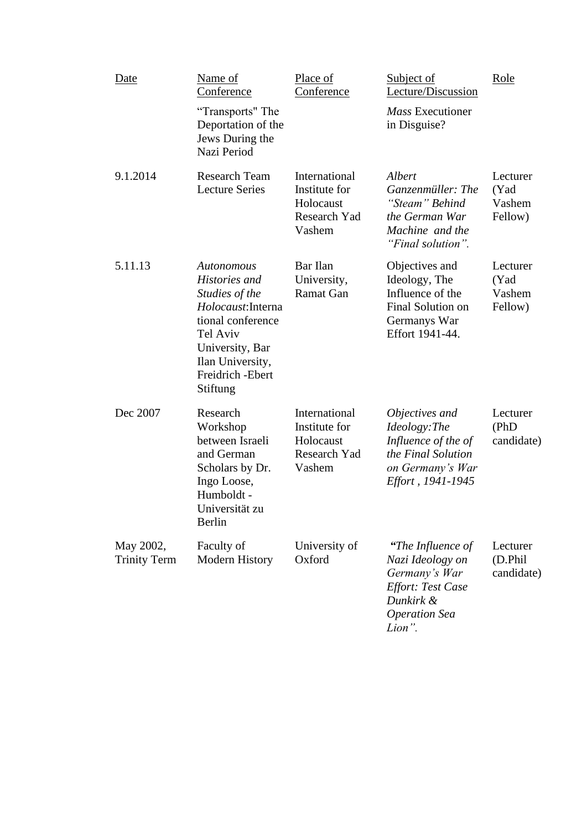| Date                             | Name of<br>Conference<br>"Transports" The<br>Deportation of the<br>Jews During the<br>Nazi Period                                                                            | Place of<br>Conference                                                | Subject of<br>Lecture/Discussion<br>Mass Executioner<br>in Disguise?                                                              | Role                                  |
|----------------------------------|------------------------------------------------------------------------------------------------------------------------------------------------------------------------------|-----------------------------------------------------------------------|-----------------------------------------------------------------------------------------------------------------------------------|---------------------------------------|
| 9.1.2014                         | <b>Research Team</b><br><b>Lecture Series</b>                                                                                                                                | International<br>Institute for<br>Holocaust<br>Research Yad<br>Vashem | Albert<br>Ganzenmüller: The<br>"Steam" Behind<br>the German War<br>Machine and the<br>"Final solution".                           | Lecturer<br>(Yad<br>Vashem<br>Fellow) |
| 5.11.13                          | Autonomous<br>Histories and<br>Studies of the<br>Holocaust: Interna<br>tional conference<br>Tel Aviv<br>University, Bar<br>Ilan University,<br>Freidrich - Ebert<br>Stiftung | Bar Ilan<br>University,<br>Ramat Gan                                  | Objectives and<br>Ideology, The<br>Influence of the<br>Final Solution on<br>Germanys War<br>Effort 1941-44.                       | Lecturer<br>(Yad<br>Vashem<br>Fellow) |
| Dec 2007                         | Research<br>Workshop<br>between Israeli<br>and German<br>Scholars by Dr.<br>Ingo Loose,<br>Humboldt -<br>Universität zu<br>Berlin                                            | International<br>Institute for<br>Holocaust<br>Research Yad<br>Vashem | Objectives and<br>Ideology:The<br>Influence of the of<br>the Final Solution<br>on Germany's War<br>Effort, 1941-1945              | Lecturer<br>(PhD)<br>candidate)       |
| May 2002,<br><b>Trinity Term</b> | Faculty of<br><b>Modern History</b>                                                                                                                                          | University of<br>Oxford                                               | "The Influence of<br>Nazi Ideology on<br>Germany's War<br><b>Effort: Test Case</b><br>Dunkirk &<br><b>Operation Sea</b><br>Lion". | Lecturer<br>(D.Phil<br>candidate)     |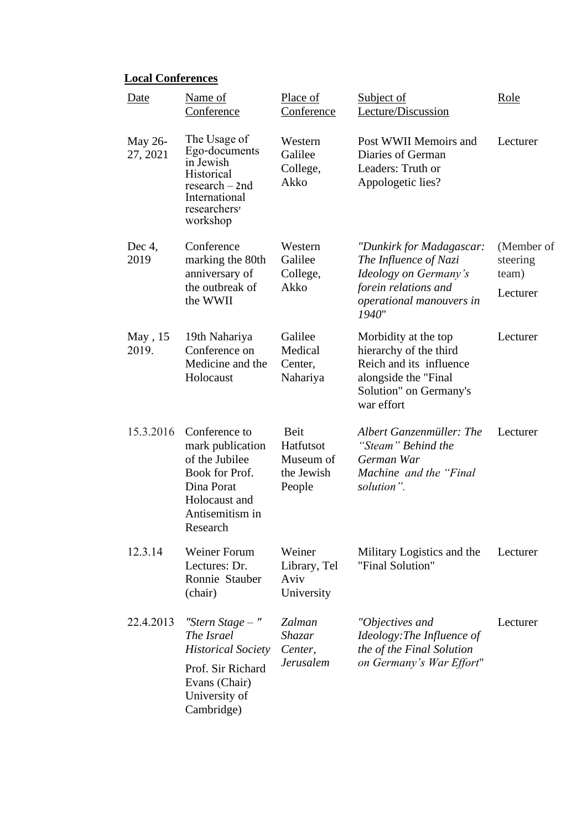# **Local Conferences**

| Date                | Name of<br>Conference                                                                                                                 | Place of<br>Conference                                 | <b>Subject of</b><br>Lecture/Discussion                                                                                                   | Role                                        |
|---------------------|---------------------------------------------------------------------------------------------------------------------------------------|--------------------------------------------------------|-------------------------------------------------------------------------------------------------------------------------------------------|---------------------------------------------|
| May 26-<br>27, 2021 | The Usage of<br>Ego-documents<br>in Jewish<br>Historical<br>$research - 2nd$<br>International<br>researchers <sup>'</sup><br>workshop | Western<br>Galilee<br>College,<br>Akko                 | Post WWII Memoirs and<br>Diaries of German<br>Leaders: Truth or<br>Appologetic lies?                                                      | Lecturer                                    |
| Dec $4$ ,<br>2019   | Conference<br>marking the 80th<br>anniversary of<br>the outbreak of<br>the WWII                                                       | Western<br>Galilee<br>College,<br>Akko                 | "Dunkirk for Madagascar:<br>The Influence of Nazi<br>Ideology on Germany's<br>forein relations and<br>operational manouvers in<br>1940"   | (Member of<br>steering<br>team)<br>Lecturer |
| May, 15<br>2019.    | 19th Nahariya<br>Conference on<br>Medicine and the<br>Holocaust                                                                       | Galilee<br>Medical<br>Center,<br>Nahariya              | Morbidity at the top<br>hierarchy of the third<br>Reich and its influence<br>alongside the "Final<br>Solution" on Germany's<br>war effort | Lecturer                                    |
| 15.3.2016           | Conference to<br>mark publication<br>of the Jubilee<br>Book for Prof.<br>Dina Porat<br>Holocaust and<br>Antisemitism in<br>Research   | Beit<br>Hatfutsot<br>Museum of<br>the Jewish<br>People | Albert Ganzenmüller: The<br>"Steam" Behind the<br>German War<br>Machine and the "Final"<br>solution".                                     | Lecturer                                    |
| 12.3.14             | Weiner Forum<br>Lectures: Dr.<br>Ronnie Stauber<br>(chair)                                                                            | Weiner<br>Library, Tel<br>Aviv<br>University           | Military Logistics and the<br>"Final Solution"                                                                                            | Lecturer                                    |
| 22.4.2013           | "Stern Stage $-$ "<br>The Israel<br><b>Historical Society</b><br>Prof. Sir Richard<br>Evans (Chair)<br>University of<br>Cambridge)    | Zalman<br>Shazar<br>Center,<br><b>Jerusalem</b>        | "Objectives and<br>Ideology: The Influence of<br>the of the Final Solution<br>on Germany's War Effort"                                    | Lecturer                                    |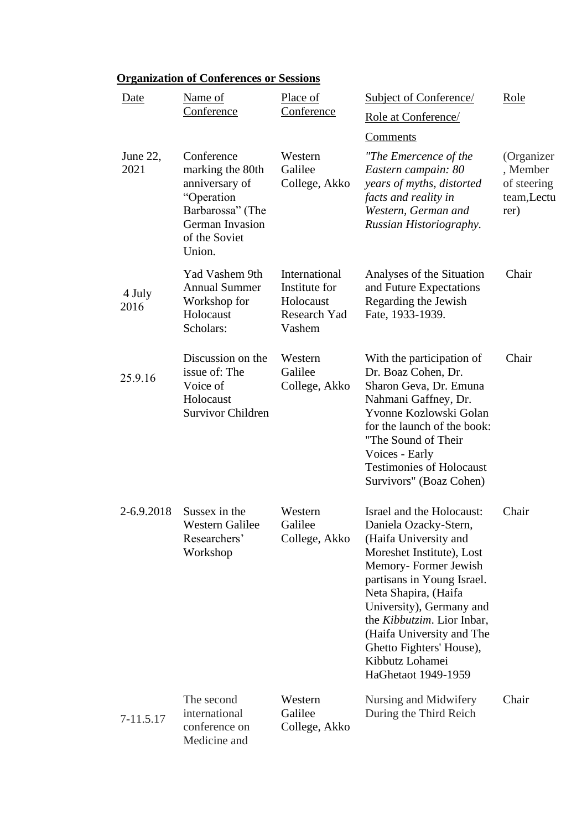| Date             | Name of<br>Conference                                                                                                                   | Place of<br>Conference                                                | <b>Subject of Conference/</b><br>Role at Conference/<br>Comments                                                                                                                                                                                                                                                                                    | <u>Role</u>                                                 |
|------------------|-----------------------------------------------------------------------------------------------------------------------------------------|-----------------------------------------------------------------------|-----------------------------------------------------------------------------------------------------------------------------------------------------------------------------------------------------------------------------------------------------------------------------------------------------------------------------------------------------|-------------------------------------------------------------|
| June 22,<br>2021 | Conference<br>marking the 80th<br>anniversary of<br>"Operation<br>Barbarossa" (The<br><b>German Invasion</b><br>of the Soviet<br>Union. | Western<br>Galilee<br>College, Akko                                   | "The Emercence of the<br>Eastern campain: 80<br>years of myths, distorted<br>facts and reality in<br>Western, German and<br>Russian Historiography.                                                                                                                                                                                                 | (Organizer<br>, Member<br>of steering<br>team,Lectu<br>rer) |
| 4 July<br>2016   | Yad Vashem 9th<br><b>Annual Summer</b><br>Workshop for<br>Holocaust<br>Scholars:                                                        | International<br>Institute for<br>Holocaust<br>Research Yad<br>Vashem | Analyses of the Situation<br>and Future Expectations<br>Regarding the Jewish<br>Fate, 1933-1939.                                                                                                                                                                                                                                                    | Chair                                                       |
| 25.9.16          | Discussion on the<br>issue of: The<br>Voice of<br>Holocaust<br><b>Survivor Children</b>                                                 | Western<br>Galilee<br>College, Akko                                   | With the participation of<br>Dr. Boaz Cohen, Dr.<br>Sharon Geva, Dr. Emuna<br>Nahmani Gaffney, Dr.<br>Yvonne Kozlowski Golan<br>for the launch of the book:<br>"The Sound of Their<br>Voices - Early<br><b>Testimonies of Holocaust</b><br>Survivors" (Boaz Cohen)                                                                                  | Chair                                                       |
| 2-6.9.2018       | Sussex in the<br>Western Galilee<br>Researchers'<br>Workshop                                                                            | Western<br>Galilee<br>College, Akko                                   | Israel and the Holocaust:<br>Daniela Ozacky-Stern,<br>(Haifa University and<br>Moreshet Institute), Lost<br>Memory-Former Jewish<br>partisans in Young Israel.<br>Neta Shapira, (Haifa<br>University), Germany and<br>the Kibbutzim. Lior Inbar,<br>(Haifa University and The<br>Ghetto Fighters' House),<br>Kibbutz Lohamei<br>HaGhetaot 1949-1959 | Chair                                                       |
| 7-11.5.17        | The second<br>international<br>conference on<br>Medicine and                                                                            | Western<br>Galilee<br>College, Akko                                   | Nursing and Midwifery<br>During the Third Reich                                                                                                                                                                                                                                                                                                     | Chair                                                       |

# **Organization of Conferences or Sessions**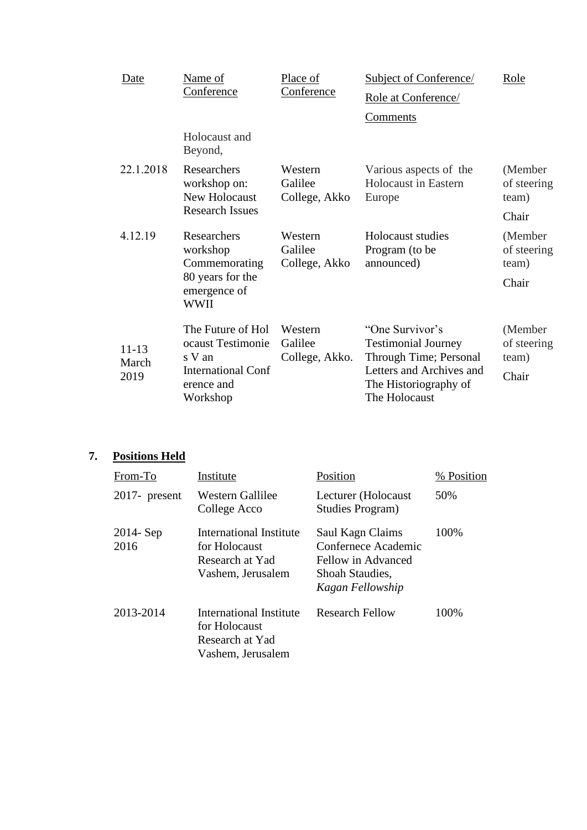| Date               | Name of                                                                | Place of                             | <b>Subject of Conference</b>                                            | Role                             |
|--------------------|------------------------------------------------------------------------|--------------------------------------|-------------------------------------------------------------------------|----------------------------------|
|                    | Conference                                                             | Conference                           | Role at Conference/                                                     |                                  |
|                    |                                                                        |                                      | <u>Comments</u>                                                         |                                  |
|                    | Holocaust and<br>Beyond,                                               |                                      |                                                                         |                                  |
| 22.1.2018          | Researchers<br>workshop on:<br>New Holocaust<br><b>Research Issues</b> | Western<br>Galilee<br>College, Akko  | Various aspects of the<br>Holocaust in Eastern<br>Europe                | (Member)<br>of steering<br>team) |
|                    |                                                                        |                                      |                                                                         | Chair                            |
| 4.12.19            | Researchers<br>workshop<br>Commemorating                               | Western<br>Galilee<br>College, Akko  | Holocaust studies<br>Program (to be<br>announced)                       | (Member)<br>of steering<br>team) |
|                    | 80 years for the<br>emergence of<br>WWII                               |                                      |                                                                         | Chair                            |
| $11 - 13$<br>March | The Future of Hol<br>ocaust Testimonie<br>s V an                       | Western<br>Galilee<br>College, Akko. | "One Survivor's<br><b>Testimonial Journey</b><br>Through Time; Personal | (Member)<br>of steering<br>team) |
| 2019               | <b>International Conf</b><br>erence and<br>Workshop                    |                                      | Letters and Archives and<br>The Historiography of<br>The Holocaust      | Chair                            |

# **7. Positions Held**

| From-To              | Institute                                                                        | Position                                                                                             | % Position |
|----------------------|----------------------------------------------------------------------------------|------------------------------------------------------------------------------------------------------|------------|
| $2017$ - present     | Western Gallilee<br>College Acco                                                 | Lecturer (Holocaust<br>Studies Program)                                                              | 50%        |
| $2014 - Sep$<br>2016 | International Institute<br>for Holocaust<br>Research at Yad<br>Vashem, Jerusalem | Saul Kagn Claims<br>Confernece Academic<br>Fellow in Advanced<br>Shoah Staudies,<br>Kagan Fellowship | 100%       |
| 2013-2014            | International Institute<br>for Holocaust<br>Research at Yad<br>Vashem, Jerusalem | <b>Research Fellow</b>                                                                               | 100%       |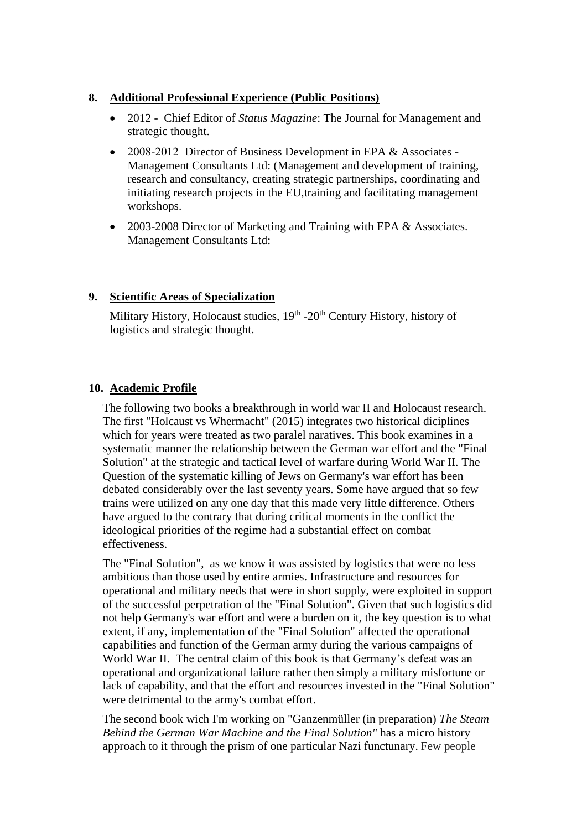## **8. Additional Professional Experience (Public Positions)**

- 2012 Chief Editor of *Status Magazine*: The Journal for Management and strategic thought.
- 2008-2012 Director of Business Development in EPA & Associates -Management Consultants Ltd: (Management and development of training, research and consultancy, creating strategic partnerships, coordinating and initiating research projects in the EU,training and facilitating management workshops.
- 2003-2008 Director of Marketing and Training with EPA & Associates. Management Consultants Ltd:

## **9. Scientific Areas of Specialization**

Military History, Holocaust studies, 19<sup>th</sup> -20<sup>th</sup> Century History, history of logistics and strategic thought.

## **10. Academic Profile**

The following two books a breakthrough in world war II and Holocaust research. The first "Holcaust vs Whermacht" (2015) integrates two historical diciplines which for years were treated as two paralel naratives. This book examines in a systematic manner the relationship between the German war effort and the "Final Solution" at the strategic and tactical level of warfare during World War II. The Question of the systematic killing of Jews on Germany's war effort has been debated considerably over the last seventy years. Some have argued that so few trains were utilized on any one day that this made very little difference. Others have argued to the contrary that during critical moments in the conflict the ideological priorities of the regime had a substantial effect on combat effectiveness.

The "Final Solution", as we know it was assisted by logistics that were no less ambitious than those used by entire armies. Infrastructure and resources for operational and military needs that were in short supply, were exploited in support of the successful perpetration of the "Final Solution". Given that such logistics did not help Germany's war effort and were a burden on it, the key question is to what extent, if any, implementation of the "Final Solution" affected the operational capabilities and function of the German army during the various campaigns of World War II. The central claim of this book is that Germany's defeat was an operational and organizational failure rather then simply a military misfortune or lack of capability, and that the effort and resources invested in the "Final Solution" were detrimental to the army's combat effort.

The second book wich I'm working on "Ganzenmüller (in preparation) *The Steam Behind the German War Machine and the Final Solution"* has a micro history approach to it through the prism of one particular Nazi functunary. Few people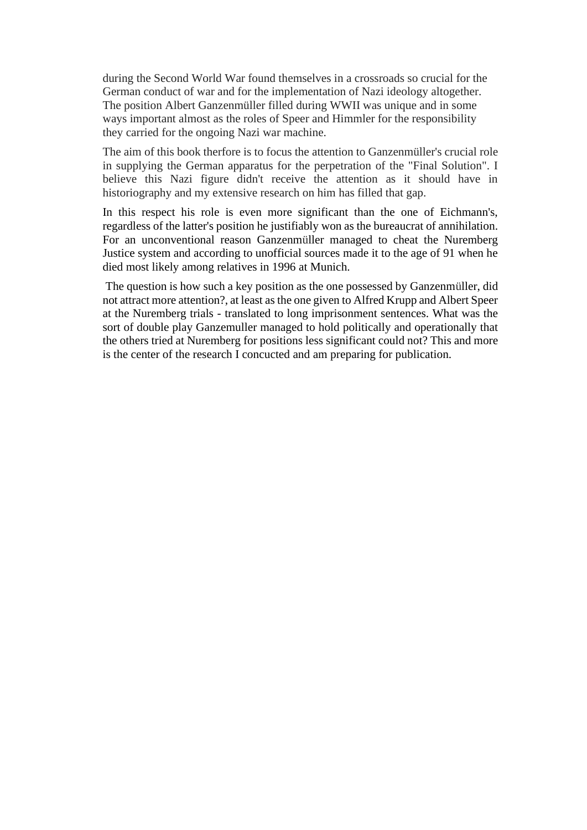during the Second World War found themselves in a crossroads so crucial for the German conduct of war and for the implementation of Nazi ideology altogether. The position Albert Ganzenmüller filled during WWII was unique and in some ways important almost as the roles of Speer and Himmler for the responsibility they carried for the ongoing Nazi war machine.

The aim of this book therfore is to focus the attention to Ganzenmüller's crucial role in supplying the German apparatus for the perpetration of the "Final Solution". I believe this Nazi figure didn't receive the attention as it should have in historiography and my extensive research on him has filled that gap.

In this respect his role is even more significant than the one of Eichmann's, regardless of the latter's position he justifiably won as the bureaucrat of annihilation. For an unconventional reason Ganzenmüller managed to cheat the Nuremberg Justice system and according to unofficial sources made it to the age of 91 when he died most likely among relatives in 1996 at Munich.

The question is how such a key position as the one possessed by Ganzenmüller, did not attract more attention?, at least as the one given to Alfred Krupp and Albert Speer at the Nuremberg trials - translated to long imprisonment sentences. What was the sort of double play Ganzemuller managed to hold politically and operationally that the others tried at Nuremberg for positions less significant could not? This and more is the center of the research I concucted and am preparing for publication.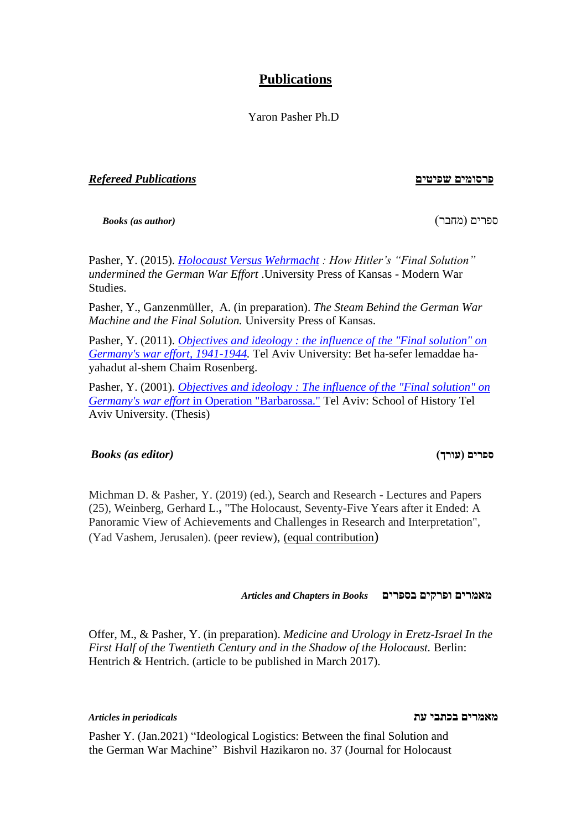# **Publications**

Yaron Pasher Ph.D

**פרסומים שפיטים** *Publications Refereed*

*Books (as author)* )מחבר )ספרים

Pasher, Y. (2015). *[Holocaust Versus Wehrmacht](https://kansaspress.ku.edu/978-0-7006-2006-7.html) : How Hitler's "Final Solution" undermined the German War Effort* .University Press of Kansas - Modern War Studies.

Pasher, Y., Ganzenmüller, A. (in preparation). *The Steam Behind the German War Machine and the Final Solution.* University Press of Kansas.

Pasher, Y. (2011). *[Objectives and ideology : the influence of the "Final solution" on](http://primoprd.tau.ac.il:1701/primo_library/libweb/action/display.do?tabs=requestTab&ct=display&fn=search&doc=aleph_tau01002513409&indx=1&recIds=aleph_tau01002513409&recIdxs=0&elementId=0&renderMode=poppedOut&displayMode=full&frbrVersion=&frbg=&&dscnt=0&scp.scps=scope%3A%28Theses%29%2Cscope%3A%28Ebooks%29%2Cscope%3A%28Ejournals%29%2Cscope%3A%28AAH%29%2Cscope%3A%28AAM%29%2Cscope%3A%28AAL%29%2Cscope%3A%28AAS%29%2Cscope%3A%28AAC%29%2Cscope%3A%28TAU%29%2Cscope%3A%28SFX_TAU%29%2Cscope%3A%28SFX%29%2CEbscoLocal%2CEbscoLocal2%2Cprimo_central_multiple_fe&tb=t&mode=Basic&vid=TAU1&srt=rank&tab=default_tab&dum=true&vl(freeText0)=objectives%20and%20ideology&dstmp=1484036246858)  [Germany's war effort, 1941-1944.](http://primoprd.tau.ac.il:1701/primo_library/libweb/action/display.do?tabs=requestTab&ct=display&fn=search&doc=aleph_tau01002513409&indx=1&recIds=aleph_tau01002513409&recIdxs=0&elementId=0&renderMode=poppedOut&displayMode=full&frbrVersion=&frbg=&&dscnt=0&scp.scps=scope%3A%28Theses%29%2Cscope%3A%28Ebooks%29%2Cscope%3A%28Ejournals%29%2Cscope%3A%28AAH%29%2Cscope%3A%28AAM%29%2Cscope%3A%28AAL%29%2Cscope%3A%28AAS%29%2Cscope%3A%28AAC%29%2Cscope%3A%28TAU%29%2Cscope%3A%28SFX_TAU%29%2Cscope%3A%28SFX%29%2CEbscoLocal%2CEbscoLocal2%2Cprimo_central_multiple_fe&tb=t&mode=Basic&vid=TAU1&srt=rank&tab=default_tab&dum=true&vl(freeText0)=objectives%20and%20ideology&dstmp=1484036246858)* Tel Aviv University: Bet ha-sefer lemaddae hayahadut al-shem Chaim Rosenberg.

Pasher, Y. (2001). *[Objectives and ideology : The influence of the "Final solution" on](https://tau-primo.hosted.exlibrisgroup.com/primo-explore/fulldisplay?docid=972TAU_ALMA21227963870004146&context=L&vid=TAU&lang=iw_IL&search_scope=TAU_Blended&adaptor=Local%20Search%20Engine&tab=default_tab&query=any,contains,%D7%99%D7%A2%D7%93%D7%99%D7%9D%20%D7%95%D7%99%D7%94%D7%95%D7%93%D7%99%D7%9D&offset=0)  Germany's war effort* [in Operation "Barbarossa."](https://tau-primo.hosted.exlibrisgroup.com/primo-explore/fulldisplay?docid=972TAU_ALMA21227963870004146&context=L&vid=TAU&lang=iw_IL&search_scope=TAU_Blended&adaptor=Local%20Search%20Engine&tab=default_tab&query=any,contains,%D7%99%D7%A2%D7%93%D7%99%D7%9D%20%D7%95%D7%99%D7%94%D7%95%D7%93%D7%99%D7%9D&offset=0) Tel Aviv: School of History Tel Aviv University. (Thesis)

#### *Books (as editor)* **)עורך )ספרים**

Michman D. & Pasher, Y. (2019) (ed.), Search and Research - Lectures and Papers (25), Weinberg, Gerhard L.**,** "The Holocaust, Seventy-Five Years after it Ended: A Panoramic View of Achievements and Challenges in Research and Interpretation", (Yad Vashem, Jerusalen). (peer review), (equal contribution)

*Articles and Chapters in Books* **בספרים ופרקים מאמרים**

Offer, M., & Pasher, Y. (in preparation). *Medicine and Urology in Eretz-Israel In the First Half of the Twentieth Century and in the Shadow of the Holocaust.* Berlin: Hentrich & Hentrich. (article to be published in March 2017).

### **מאמרים בכתבי עת** *periodicals in Articles*

Pasher Y. (Jan.2021) "Ideological Logistics: Between the final Solution and the German War Machine" Bishvil Hazikaron no. 37 (Journal for Holocaust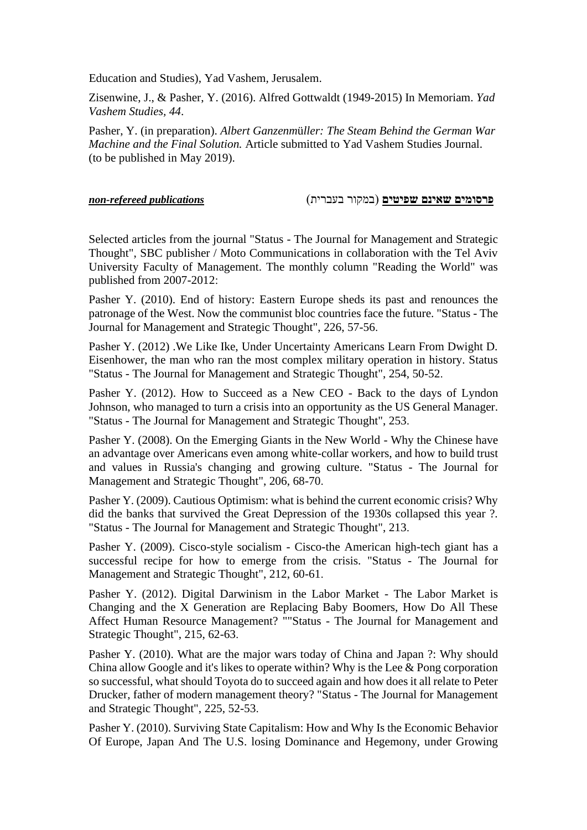Education and Studies), Yad Vashem, Jerusalem.

Zisenwine, J., & Pasher, Y. (2016). Alfred Gottwaldt (1949-2015) In Memoriam. *Yad Vashem Studies, 44*.

Pasher, Y. (in preparation). *Albert Ganzenm*ü*ller: The Steam Behind the German War Machine and the Final Solution.* Article submitted to Yad Vashem Studies Journal. (to be published in May 2019).

#### **פרסומים שאינם שפיטים** )במקור בעברית( *publications refereed-non*

Selected articles from the journal "Status - The Journal for Management and Strategic Thought", SBC publisher / Moto Communications in collaboration with the Tel Aviv University Faculty of Management. The monthly column "Reading the World" was published from 2007-2012:

Pasher Y. (2010). End of history: Eastern Europe sheds its past and renounces the patronage of the West. Now the communist bloc countries face the future. "Status - The Journal for Management and Strategic Thought", 226, 57-56.

Pasher Y. (2012) .We Like Ike, Under Uncertainty Americans Learn From Dwight D. Eisenhower, the man who ran the most complex military operation in history. Status "Status - The Journal for Management and Strategic Thought", 254, 50-52.

Pasher Y. (2012). How to Succeed as a New CEO - Back to the days of Lyndon Johnson, who managed to turn a crisis into an opportunity as the US General Manager. "Status - The Journal for Management and Strategic Thought", 253.

Pasher Y. (2008). On the Emerging Giants in the New World - Why the Chinese have an advantage over Americans even among white-collar workers, and how to build trust and values in Russia's changing and growing culture. "Status - The Journal for Management and Strategic Thought", 206, 68-70.

Pasher Y. (2009). Cautious Optimism: what is behind the current economic crisis? Why did the banks that survived the Great Depression of the 1930s collapsed this year ?. "Status - The Journal for Management and Strategic Thought", 213.

Pasher Y. (2009). Cisco-style socialism - Cisco-the American high-tech giant has a successful recipe for how to emerge from the crisis. "Status - The Journal for Management and Strategic Thought", 212, 60-61.

Pasher Y. (2012). Digital Darwinism in the Labor Market - The Labor Market is Changing and the X Generation are Replacing Baby Boomers, How Do All These Affect Human Resource Management? ""Status - The Journal for Management and Strategic Thought", 215, 62-63.

Pasher Y. (2010). What are the major wars today of China and Japan ?: Why should China allow Google and it's likes to operate within? Why is the Lee & Pong corporation so successful, what should Toyota do to succeed again and how does it all relate to Peter Drucker, father of modern management theory? "Status - The Journal for Management and Strategic Thought", 225, 52-53.

Pasher Y. (2010). Surviving State Capitalism: How and Why Is the Economic Behavior Of Europe, Japan And The U.S. losing Dominance and Hegemony, under Growing